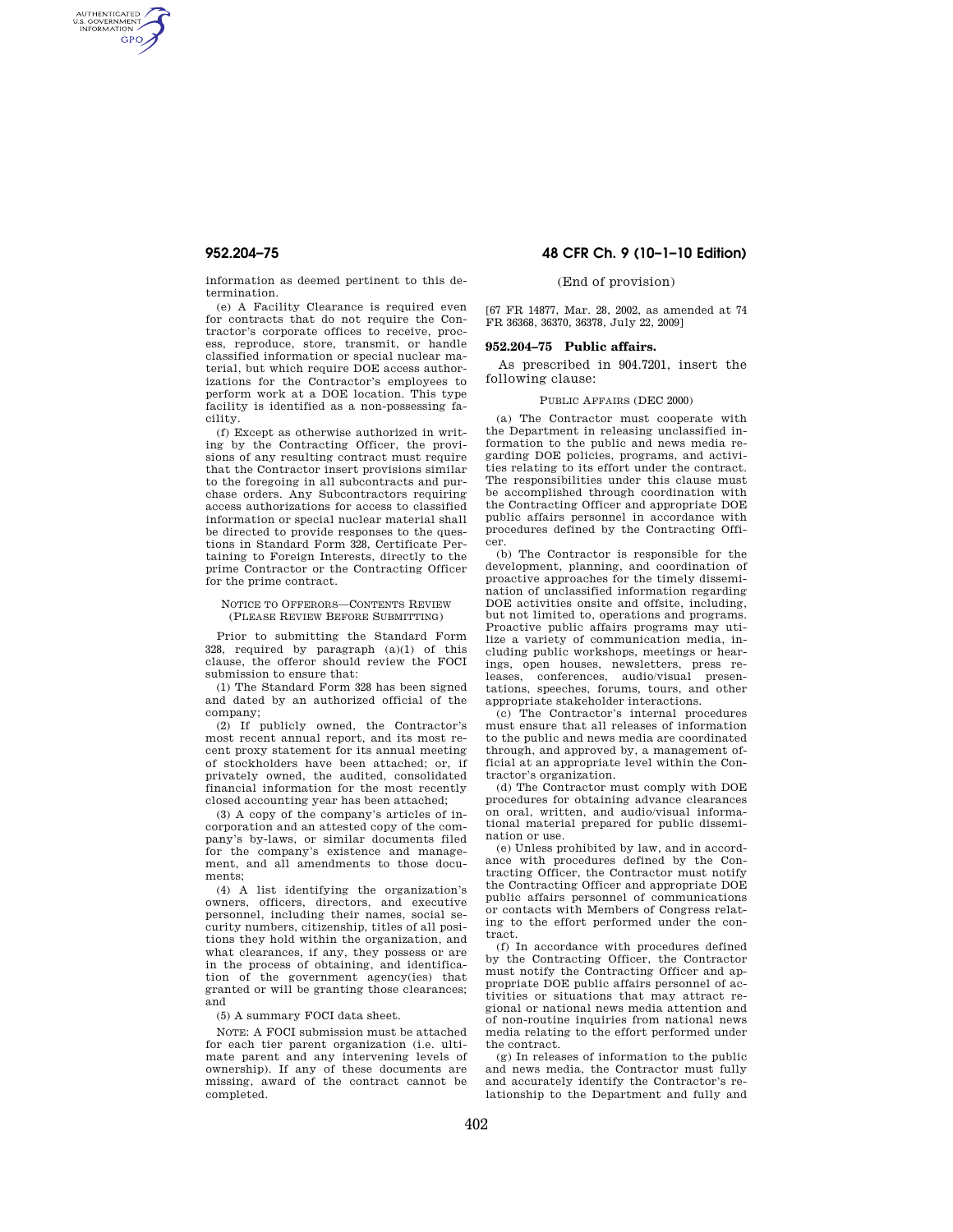AUTHENTICATED<br>U.S. GOVERNMENT<br>INFORMATION **GPO** 

> information as deemed pertinent to this determination.

> (e) A Facility Clearance is required even for contracts that do not require the Contractor's corporate offices to receive, process, reproduce, store, transmit, or handle classified information or special nuclear material, but which require DOE access authorizations for the Contractor's employees to perform work at a DOE location. This type facility is identified as a non-possessing facility.

> (f) Except as otherwise authorized in writing by the Contracting Officer, the provisions of any resulting contract must require that the Contractor insert provisions similar to the foregoing in all subcontracts and purchase orders. Any Subcontractors requiring access authorizations for access to classified information or special nuclear material shall be directed to provide responses to the questions in Standard Form 328, Certificate Pertaining to Foreign Interests, directly to the prime Contractor or the Contracting Officer for the prime contract.

#### NOTICE TO OFFERORS—CONTENTS REVIEW (PLEASE REVIEW BEFORE SUBMITTING)

Prior to submitting the Standard Form 328, required by paragraph (a)(1) of this clause, the offeror should review the FOCI submission to ensure that:

(1) The Standard Form 328 has been signed and dated by an authorized official of the company;

(2) If publicly owned, the Contractor's most recent annual report, and its most recent proxy statement for its annual meeting of stockholders have been attached; or, if privately owned, the audited, consolidated financial information for the most recently closed accounting year has been attached;

(3) A copy of the company's articles of incorporation and an attested copy of the company's by-laws, or similar documents filed for the company's existence and management, and all amendments to those documents;

(4) A list identifying the organization's owners, officers, directors, and executive personnel, including their names, social security numbers, citizenship, titles of all positions they hold within the organization, and what clearances, if any, they possess or are in the process of obtaining, and identification of the government agency(ies) that granted or will be granting those clearances; and

(5) A summary FOCI data sheet.

NOTE: A FOCI submission must be attached for each tier parent organization (i.e. ultimate parent and any intervening levels of ownership). If any of these documents are missing, award of the contract cannot be completed.

## **952.204–75 48 CFR Ch. 9 (10–1–10 Edition)**

## (End of provision)

[67 FR 14877, Mar. 28, 2002, as amended at 74 FR 36368, 36370, 36378, July 22, 2009]

### **952.204–75 Public affairs.**

As prescribed in 904.7201, insert the following clause:

#### PUBLIC AFFAIRS (DEC 2000)

(a) The Contractor must cooperate with the Department in releasing unclassified information to the public and news media regarding DOE policies, programs, and activities relating to its effort under the contract. The responsibilities under this clause must be accomplished through coordination with the Contracting Officer and appropriate DOE public affairs personnel in accordance with procedures defined by the Contracting Officer.

(b) The Contractor is responsible for the development, planning, and coordination of proactive approaches for the timely dissemination of unclassified information regarding DOE activities onsite and offsite, including, but not limited to, operations and programs. Proactive public affairs programs may utilize a variety of communication media, including public workshops, meetings or hearings, open houses, newsletters, press releases, conferences, audio/visual presentations, speeches, forums, tours, and other appropriate stakeholder interactions.

(c) The Contractor's internal procedures must ensure that all releases of information to the public and news media are coordinated through, and approved by, a management official at an appropriate level within the Contractor's organization.

(d) The Contractor must comply with DOE procedures for obtaining advance clearances on oral, written, and audio/visual informational material prepared for public dissemination or use.

(e) Unless prohibited by law, and in accordance with procedures defined by the Contracting Officer, the Contractor must notify the Contracting Officer and appropriate DOE public affairs personnel of communications or contacts with Members of Congress relating to the effort performed under the contract.

(f) In accordance with procedures defined by the Contracting Officer, the Contractor must notify the Contracting Officer and appropriate DOE public affairs personnel of activities or situations that may attract regional or national news media attention and of non-routine inquiries from national news media relating to the effort performed under the contract.

(g) In releases of information to the public and news media, the Contractor must fully and accurately identify the Contractor's relationship to the Department and fully and